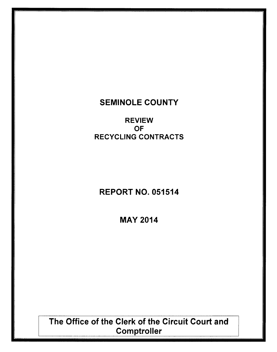## SEMINOLE COUNTY

REVIEW OF RECYCLING CONTRACTS

# REPORT NO. 051514

MAY 2014

The Office of the Clerk of the Circuit Court and **Comptroller**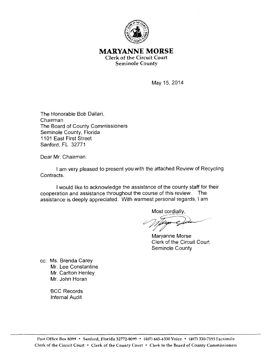

#### **MARYANNE MORSE**  Clerk of the Circuit Court Seminole County

May 15, 2014

The Honorable Bob Dallari, Chairman The Board of County Commissioners Seminole County, Florida 1101 East First Street Sanford, FL 32771

Dear Mr. Chairman:

I am very pleased to present you with the attached Review of Recycling Contracts.

I would like to acknowledge the assistance of the county staff for their cooperation and assistance throughout the course of this review. The assistance is deeply appreciated. With warmest personal regards, I am

Most cordially.

Maryanne Morse Clerk of the Circuit Court Seminole County

cc: Ms. Brenda Carey Mr. Lee Constantine Mr. Carlton Henley Mr. John Horan

> BCC Records Internal Audit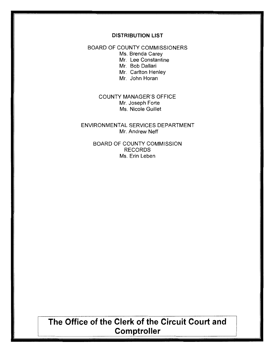#### **DISTRIBUTION LIST**

#### BOARD OF COUNTY COMMISSIONERS

Ms. Brenda Carey

Mr. Lee Constantine

Mr. Bob Dallari

Mr. Carlton Henley

Mr. John Horan

#### COUNTY MANAGER'S OFFICE Mr. Joseph Forte Ms. Nicole Guillet

#### ENVIRONMENTAL SERVICES DEPARTMENT Mr. Andrew Neff

BOARD OF COUNTY COMMISSION RECORDS Ms. Erin Leben

# **The Office of the Clerk of the Circuit Court and Comptroller**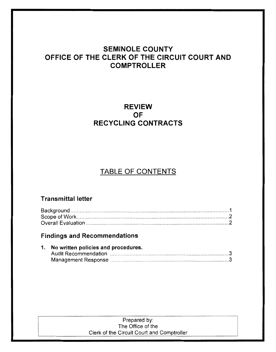### SEMINOLE COUNTY OFFICE OF THE CLERK OF THE CIRCUIT COURT AND **COMPTROLLER**

### REVIEW OF RECYCLING CONTRACTS

## TABLE OF CONTENTS

### Transmittal letter

### Findings and Recommendations

| 1. No written policies and procedures. |  |
|----------------------------------------|--|
|                                        |  |
|                                        |  |

#### Prepared by: The Office of the Clerk of the Circuit Court and Comptroller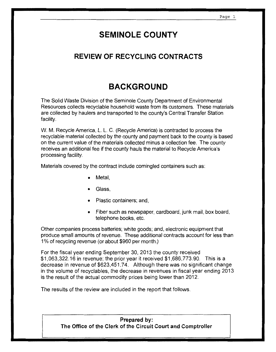# **SEMINOLE COUNTY**

### **REVIEW OF RECYCLING CONTRACTS**

# **BACKGROUND**

The Solid Waste Division of the Seminole County Department of Environmental Resources collects recyclable household waste from its customers. These materials are collected by haulers and transported to the county's Central Transfer Station facility.

W. M. Recycle America, L. L. C. (Recycle America) is contracted to process the recyclable material collected by the county and payment back to the county is based on the current value of the materials collected minus a collection fee. The county receives an additional fee if the county hauls the material to Recycle America's processing facility.

Materials covered by the contract include comingled containers such as:

- Metal,
- Glass.
- Plastic containers; and,
- Fiber such as newspaper, cardboard, junk mail, box board, telephone books, etc.

Other companies process batteries; white goods; and, electronic equipment that produce small amounts of revenue. These additional contracts account for less than 1 % of recycling revenue (or about \$960 per month.)

For the fiscal year ending September 30, 2013 the county received \$1,063,322.16 in revenue; the prior year it received \$1,686,773.90. This is a decrease in revenue of \$623,451.74. Although there was no significant change in the volume of recyclables, the decrease in revenues in fiscal year ending 2013 is the result of the actual commodity prices being lower than 2012.

The results of the review are included in the report that follows.

**Prepared by: The Office of the Clerk of the Circuit Court and Comptroller**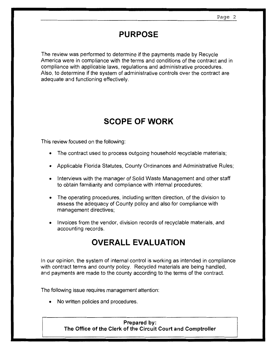## **PURPOSE**

The review was performed to determine if the payments made by Recycle America were in compliance with the terms and conditions of the contract and in compliance with applicable laws, regulations and administrative procedures. Also, to determine if the system of administrative controls over the contract are adequate and functioning effectively.

# **SCOPE OF WORK**

This review focused on the following:

- The contract used to process outgoing household recyclable materials;
- Applicable Florida Statutes, County Ordinances and Administrative Rules;
- Interviews with the manager of Solid Waste Management and other staff to obtain familiarity and compliance with internal procedures;
- The operating procedures, including written direction, of the division to assess the adequacy of County policy and also for compliance with management directives;
- Invoices from the vendor, division records of recyclable materials, and accounting records.

# **OVERALL EVALUATION**

In our opinion, the system of internal control is working as intended in compliance with contract terms and county policy. Recycled materials are being handled, and payments are made to the county according to the terms of the contract.

The following issue requires management attention:

• No written policies and procedures.